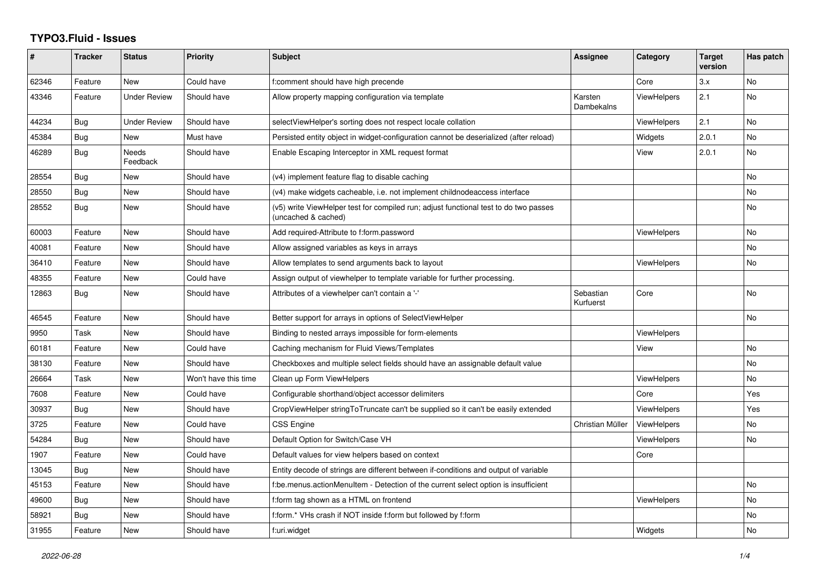## **TYPO3.Fluid - Issues**

| #     | <b>Tracker</b> | <b>Status</b>            | Priority             | <b>Subject</b>                                                                                              | Assignee               | Category           | <b>Target</b><br>version | Has patch |
|-------|----------------|--------------------------|----------------------|-------------------------------------------------------------------------------------------------------------|------------------------|--------------------|--------------------------|-----------|
| 62346 | Feature        | <b>New</b>               | Could have           | f:comment should have high precende                                                                         |                        | Core               | 3.x                      | <b>No</b> |
| 43346 | Feature        | Under Review             | Should have          | Allow property mapping configuration via template                                                           | Karsten<br>Dambekalns  | ViewHelpers        | 2.1                      | No.       |
| 44234 | Bug            | Under Review             | Should have          | selectViewHelper's sorting does not respect locale collation                                                |                        | ViewHelpers        | 2.1                      | <b>No</b> |
| 45384 | <b>Bug</b>     | <b>New</b>               | Must have            | Persisted entity object in widget-configuration cannot be deserialized (after reload)                       |                        | Widgets            | 2.0.1                    | <b>No</b> |
| 46289 | Bug            | <b>Needs</b><br>Feedback | Should have          | Enable Escaping Interceptor in XML request format                                                           |                        | View               | 2.0.1                    | <b>No</b> |
| 28554 | Bug            | New                      | Should have          | (v4) implement feature flag to disable caching                                                              |                        |                    |                          | <b>No</b> |
| 28550 | Bug            | <b>New</b>               | Should have          | (v4) make widgets cacheable, i.e. not implement childnodeaccess interface                                   |                        |                    |                          | No        |
| 28552 | Bug            | <b>New</b>               | Should have          | (v5) write ViewHelper test for compiled run; adjust functional test to do two passes<br>(uncached & cached) |                        |                    |                          | <b>No</b> |
| 60003 | Feature        | New                      | Should have          | Add required-Attribute to f:form.password                                                                   |                        | <b>ViewHelpers</b> |                          | <b>No</b> |
| 40081 | Feature        | New                      | Should have          | Allow assigned variables as keys in arrays                                                                  |                        |                    |                          | No        |
| 36410 | Feature        | New                      | Should have          | Allow templates to send arguments back to layout                                                            |                        | <b>ViewHelpers</b> |                          | No        |
| 48355 | Feature        | New                      | Could have           | Assign output of viewhelper to template variable for further processing.                                    |                        |                    |                          |           |
| 12863 | Bug            | New                      | Should have          | Attributes of a viewhelper can't contain a '-'                                                              | Sebastian<br>Kurfuerst | Core               |                          | No        |
| 46545 | Feature        | <b>New</b>               | Should have          | Better support for arrays in options of SelectViewHelper                                                    |                        |                    |                          | <b>No</b> |
| 9950  | Task           | New                      | Should have          | Binding to nested arrays impossible for form-elements                                                       |                        | ViewHelpers        |                          |           |
| 60181 | Feature        | New                      | Could have           | Caching mechanism for Fluid Views/Templates                                                                 |                        | View               |                          | No        |
| 38130 | Feature        | New                      | Should have          | Checkboxes and multiple select fields should have an assignable default value                               |                        |                    |                          | No        |
| 26664 | Task           | <b>New</b>               | Won't have this time | Clean up Form ViewHelpers                                                                                   |                        | <b>ViewHelpers</b> |                          | <b>No</b> |
| 7608  | Feature        | New                      | Could have           | Configurable shorthand/object accessor delimiters                                                           |                        | Core               |                          | Yes       |
| 30937 | Bug            | New                      | Should have          | CropViewHelper stringToTruncate can't be supplied so it can't be easily extended                            |                        | <b>ViewHelpers</b> |                          | Yes       |
| 3725  | Feature        | New                      | Could have           | CSS Engine                                                                                                  | Christian Müller       | ViewHelpers        |                          | No        |
| 54284 | Bug            | New                      | Should have          | Default Option for Switch/Case VH                                                                           |                        | <b>ViewHelpers</b> |                          | No        |
| 1907  | Feature        | New                      | Could have           | Default values for view helpers based on context                                                            |                        | Core               |                          |           |
| 13045 | Bug            | New                      | Should have          | Entity decode of strings are different between if-conditions and output of variable                         |                        |                    |                          |           |
| 45153 | Feature        | New                      | Should have          | f:be.menus.actionMenuItem - Detection of the current select option is insufficient                          |                        |                    |                          | No        |
| 49600 | Bug            | New                      | Should have          | f:form tag shown as a HTML on frontend                                                                      |                        | <b>ViewHelpers</b> |                          | <b>No</b> |
| 58921 | Bug            | New                      | Should have          | f:form.* VHs crash if NOT inside f:form but followed by f:form                                              |                        |                    |                          | No        |
| 31955 | Feature        | New                      | Should have          | f:uri.widget                                                                                                |                        | Widgets            |                          | <b>No</b> |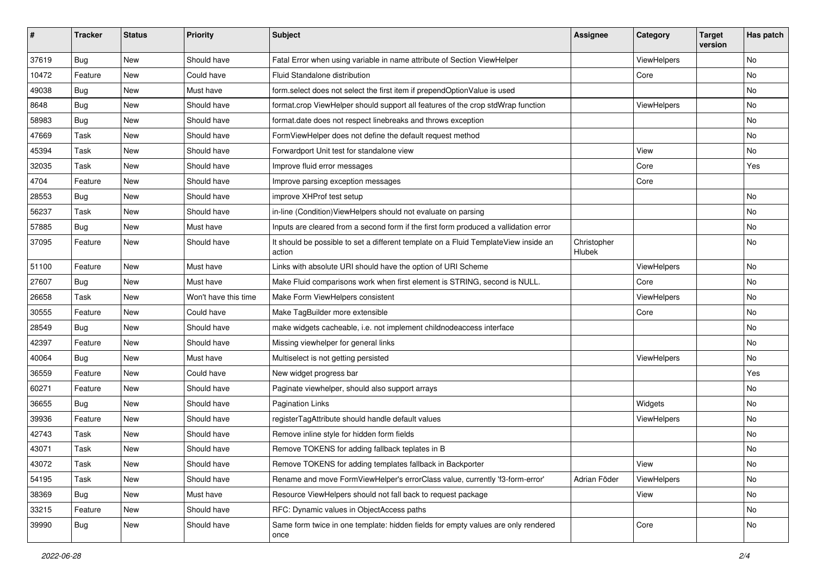| #     | <b>Tracker</b> | <b>Status</b> | <b>Priority</b>      | <b>Subject</b>                                                                                | <b>Assignee</b>       | Category    | <b>Target</b><br>version | Has patch |
|-------|----------------|---------------|----------------------|-----------------------------------------------------------------------------------------------|-----------------------|-------------|--------------------------|-----------|
| 37619 | Bug            | New           | Should have          | Fatal Error when using variable in name attribute of Section ViewHelper                       |                       | ViewHelpers |                          | No        |
| 10472 | Feature        | New           | Could have           | Fluid Standalone distribution                                                                 |                       | Core        |                          | No        |
| 49038 | Bug            | New           | Must have            | form.select does not select the first item if prependOptionValue is used                      |                       |             |                          | No        |
| 8648  | Bug            | New           | Should have          | format.crop ViewHelper should support all features of the crop stdWrap function               |                       | ViewHelpers |                          | No        |
| 58983 | <b>Bug</b>     | New           | Should have          | format.date does not respect linebreaks and throws exception                                  |                       |             |                          | No        |
| 47669 | Task           | New           | Should have          | FormViewHelper does not define the default request method                                     |                       |             |                          | No        |
| 45394 | Task           | New           | Should have          | Forwardport Unit test for standalone view                                                     |                       | View        |                          | No        |
| 32035 | Task           | New           | Should have          | Improve fluid error messages                                                                  |                       | Core        |                          | Yes       |
| 4704  | Feature        | New           | Should have          | Improve parsing exception messages                                                            |                       | Core        |                          |           |
| 28553 | <b>Bug</b>     | New           | Should have          | improve XHProf test setup                                                                     |                       |             |                          | No.       |
| 56237 | Task           | New           | Should have          | in-line (Condition) View Helpers should not evaluate on parsing                               |                       |             |                          | No        |
| 57885 | Bug            | New           | Must have            | Inputs are cleared from a second form if the first form produced a vallidation error          |                       |             |                          | No        |
| 37095 | Feature        | New           | Should have          | It should be possible to set a different template on a Fluid TemplateView inside an<br>action | Christopher<br>Hlubek |             |                          | No        |
| 51100 | Feature        | New           | Must have            | Links with absolute URI should have the option of URI Scheme                                  |                       | ViewHelpers |                          | No        |
| 27607 | Bug            | New           | Must have            | Make Fluid comparisons work when first element is STRING, second is NULL.                     |                       | Core        |                          | No        |
| 26658 | Task           | New           | Won't have this time | Make Form ViewHelpers consistent                                                              |                       | ViewHelpers |                          | No        |
| 30555 | Feature        | New           | Could have           | Make TagBuilder more extensible                                                               |                       | Core        |                          | No        |
| 28549 | Bug            | New           | Should have          | make widgets cacheable, i.e. not implement childnodeaccess interface                          |                       |             |                          | No        |
| 42397 | Feature        | New           | Should have          | Missing viewhelper for general links                                                          |                       |             |                          | No        |
| 40064 | Bug            | New           | Must have            | Multiselect is not getting persisted                                                          |                       | ViewHelpers |                          | No        |
| 36559 | Feature        | New           | Could have           | New widget progress bar                                                                       |                       |             |                          | Yes       |
| 60271 | Feature        | New           | Should have          | Paginate viewhelper, should also support arrays                                               |                       |             |                          | No        |
| 36655 | <b>Bug</b>     | New           | Should have          | <b>Pagination Links</b>                                                                       |                       | Widgets     |                          | No        |
| 39936 | Feature        | New           | Should have          | registerTagAttribute should handle default values                                             |                       | ViewHelpers |                          | No        |
| 42743 | Task           | New           | Should have          | Remove inline style for hidden form fields                                                    |                       |             |                          | No        |
| 43071 | Task           | New           | Should have          | Remove TOKENS for adding fallback teplates in B                                               |                       |             |                          | No        |
| 43072 | Task           | New           | Should have          | Remove TOKENS for adding templates fallback in Backporter                                     |                       | View        |                          | No        |
| 54195 | Task           | New           | Should have          | Rename and move FormViewHelper's errorClass value, currently 'f3-form-error'                  | Adrian Föder          | ViewHelpers |                          | No        |
| 38369 | <b>Bug</b>     | New           | Must have            | Resource ViewHelpers should not fall back to request package                                  |                       | View        |                          | No        |
| 33215 | Feature        | New           | Should have          | RFC: Dynamic values in ObjectAccess paths                                                     |                       |             |                          | No        |
| 39990 | <b>Bug</b>     | New           | Should have          | Same form twice in one template: hidden fields for empty values are only rendered<br>once     |                       | Core        |                          | No        |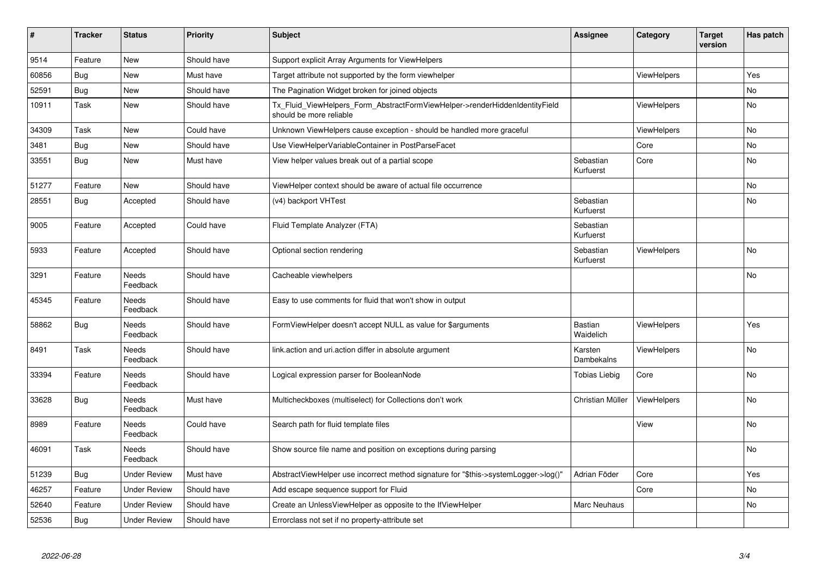| #     | <b>Tracker</b> | <b>Status</b>            | <b>Priority</b> | Subject                                                                                                | <b>Assignee</b>        | Category           | <b>Target</b><br>version | Has patch |
|-------|----------------|--------------------------|-----------------|--------------------------------------------------------------------------------------------------------|------------------------|--------------------|--------------------------|-----------|
| 9514  | Feature        | <b>New</b>               | Should have     | Support explicit Array Arguments for ViewHelpers                                                       |                        |                    |                          |           |
| 60856 | <b>Bug</b>     | New                      | Must have       | Target attribute not supported by the form viewhelper                                                  |                        | <b>ViewHelpers</b> |                          | Yes       |
| 52591 | Bug            | New                      | Should have     | The Pagination Widget broken for joined objects                                                        |                        |                    |                          | No        |
| 10911 | Task           | New                      | Should have     | Tx_Fluid_ViewHelpers_Form_AbstractFormViewHelper->renderHiddenIdentityField<br>should be more reliable |                        | <b>ViewHelpers</b> |                          | No        |
| 34309 | Task           | New                      | Could have      | Unknown ViewHelpers cause exception - should be handled more graceful                                  |                        | <b>ViewHelpers</b> |                          | No        |
| 3481  | Bug            | New                      | Should have     | Use ViewHelperVariableContainer in PostParseFacet                                                      |                        | Core               |                          | No        |
| 33551 | <b>Bug</b>     | New                      | Must have       | View helper values break out of a partial scope                                                        | Sebastian<br>Kurfuerst | Core               |                          | No        |
| 51277 | Feature        | <b>New</b>               | Should have     | ViewHelper context should be aware of actual file occurrence                                           |                        |                    |                          | No        |
| 28551 | <b>Bug</b>     | Accepted                 | Should have     | (v4) backport VHTest                                                                                   | Sebastian<br>Kurfuerst |                    |                          | <b>No</b> |
| 9005  | Feature        | Accepted                 | Could have      | Fluid Template Analyzer (FTA)                                                                          | Sebastian<br>Kurfuerst |                    |                          |           |
| 5933  | Feature        | Accepted                 | Should have     | Optional section rendering                                                                             | Sebastian<br>Kurfuerst | <b>ViewHelpers</b> |                          | <b>No</b> |
| 3291  | Feature        | Needs<br>Feedback        | Should have     | Cacheable viewhelpers                                                                                  |                        |                    |                          | <b>No</b> |
| 45345 | Feature        | <b>Needs</b><br>Feedback | Should have     | Easy to use comments for fluid that won't show in output                                               |                        |                    |                          |           |
| 58862 | Bug            | Needs<br>Feedback        | Should have     | FormViewHelper doesn't accept NULL as value for \$arguments                                            | Bastian<br>Waidelich   | ViewHelpers        |                          | Yes       |
| 8491  | Task           | Needs<br>Feedback        | Should have     | link.action and uri.action differ in absolute argument                                                 | Karsten<br>Dambekalns  | <b>ViewHelpers</b> |                          | No        |
| 33394 | Feature        | Needs<br>Feedback        | Should have     | Logical expression parser for BooleanNode                                                              | <b>Tobias Liebig</b>   | Core               |                          | No        |
| 33628 | <b>Bug</b>     | <b>Needs</b><br>Feedback | Must have       | Multicheckboxes (multiselect) for Collections don't work                                               | Christian Müller       | ViewHelpers        |                          | No        |
| 8989  | Feature        | Needs<br>Feedback        | Could have      | Search path for fluid template files                                                                   |                        | View               |                          | <b>No</b> |
| 46091 | Task           | <b>Needs</b><br>Feedback | Should have     | Show source file name and position on exceptions during parsing                                        |                        |                    |                          | <b>No</b> |
| 51239 | <b>Bug</b>     | <b>Under Review</b>      | Must have       | AbstractViewHelper use incorrect method signature for "\$this->systemLogger->log()"                    | Adrian Föder           | Core               |                          | Yes       |
| 46257 | Feature        | <b>Under Review</b>      | Should have     | Add escape sequence support for Fluid                                                                  |                        | Core               |                          | <b>No</b> |
| 52640 | Feature        | <b>Under Review</b>      | Should have     | Create an UnlessViewHelper as opposite to the IfViewHelper                                             | Marc Neuhaus           |                    |                          | <b>No</b> |
| 52536 | <b>Bug</b>     | <b>Under Review</b>      | Should have     | Errorclass not set if no property-attribute set                                                        |                        |                    |                          |           |